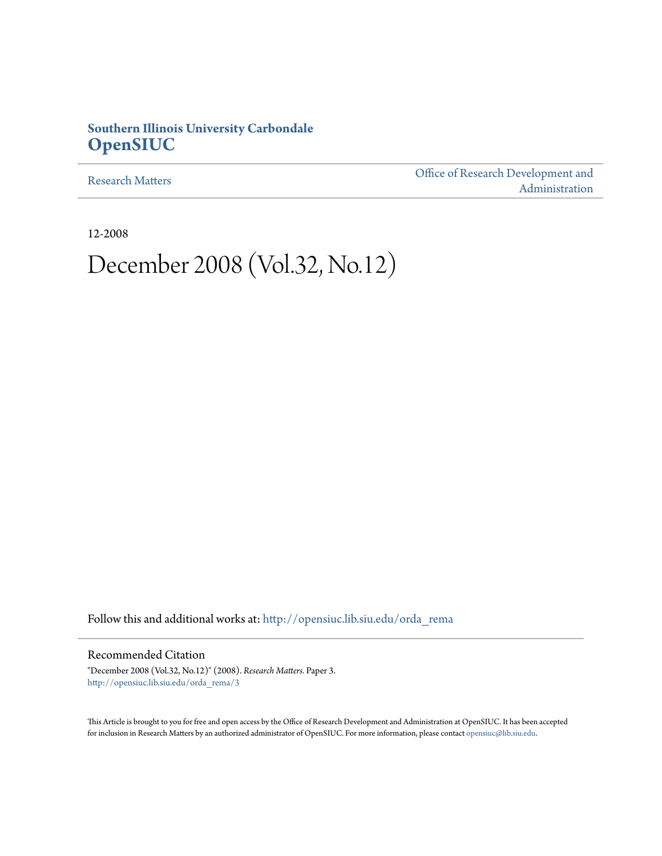## **Southern Illinois University Carbondale [OpenSIUC](http://opensiuc.lib.siu.edu?utm_source=opensiuc.lib.siu.edu%2Forda_rema%2F3&utm_medium=PDF&utm_campaign=PDFCoverPages)**

[Research Matters](http://opensiuc.lib.siu.edu/orda_rema?utm_source=opensiuc.lib.siu.edu%2Forda_rema%2F3&utm_medium=PDF&utm_campaign=PDFCoverPages)

[Office of Research Development and](http://opensiuc.lib.siu.edu/orda?utm_source=opensiuc.lib.siu.edu%2Forda_rema%2F3&utm_medium=PDF&utm_campaign=PDFCoverPages) [Administration](http://opensiuc.lib.siu.edu/orda?utm_source=opensiuc.lib.siu.edu%2Forda_rema%2F3&utm_medium=PDF&utm_campaign=PDFCoverPages)

12-2008

# December 2008 (Vol.32, No.12)

Follow this and additional works at: [http://opensiuc.lib.siu.edu/orda\\_rema](http://opensiuc.lib.siu.edu/orda_rema?utm_source=opensiuc.lib.siu.edu%2Forda_rema%2F3&utm_medium=PDF&utm_campaign=PDFCoverPages)

Recommended Citation

"December 2008 (Vol.32, No.12)" (2008). *Research Matters.* Paper 3. [http://opensiuc.lib.siu.edu/orda\\_rema/3](http://opensiuc.lib.siu.edu/orda_rema/3?utm_source=opensiuc.lib.siu.edu%2Forda_rema%2F3&utm_medium=PDF&utm_campaign=PDFCoverPages)

This Article is brought to you for free and open access by the Office of Research Development and Administration at OpenSIUC. It has been accepted for inclusion in Research Matters by an authorized administrator of OpenSIUC. For more information, please contact [opensiuc@lib.siu.edu](mailto:opensiuc@lib.siu.edu).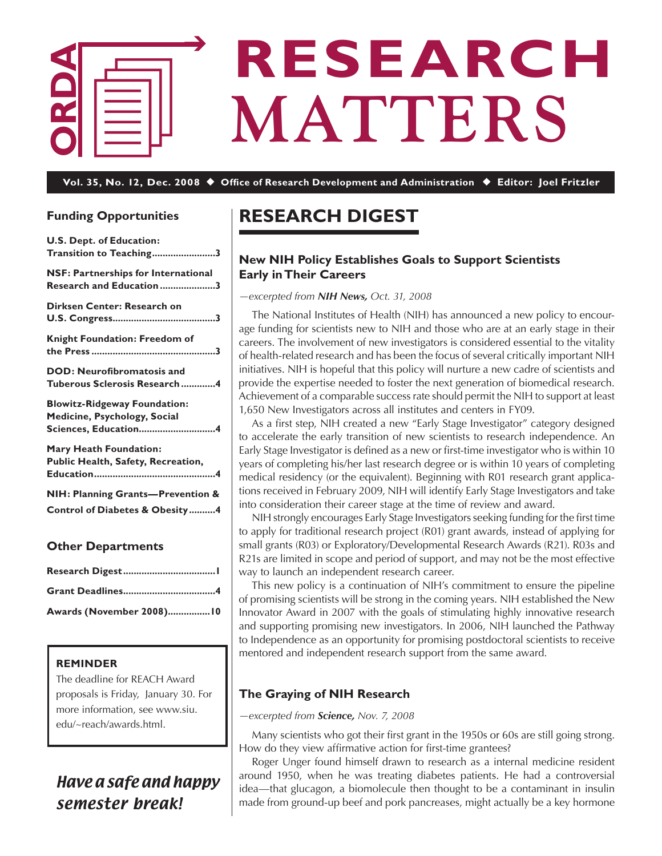

# **RESEARCH MATTERS**

**Vol. 35, No. 12, Dec. 2008** ◆ **Office of Research Development and Administration** ◆ **Editor: Joel Fritzler**

## **Funding Opportunities**

| <b>U.S. Dept. of Education:</b><br>Transition to Teaching3                                  |
|---------------------------------------------------------------------------------------------|
| NSF: Partnerships for International<br>Research and Education 3                             |
| Dirksen Center: Research on                                                                 |
| <b>Knight Foundation: Freedom of</b>                                                        |
| <b>DOD: Neurofibromatosis and</b><br>Tuberous Sclerosis Research4                           |
| <b>Blowitz-Ridgeway Foundation:</b><br>Medicine, Psychology, Social<br>Sciences, Education4 |
| <b>Mary Heath Foundation:</b><br>Public Health, Safety, Recreation,                         |
| NIH: Planning Grants-Prevention &<br><b>Control of Diabetes &amp; Obesity4</b>              |

## **Other Departments**

| Awards (November 2008)10 |
|--------------------------|

## **REMINDER**

The deadline for REACH Award proposals is Friday, January 30. For more information, see www.siu. edu/~reach/awards.html.

# Have a safe and happy semester break!

# **Research Digest**

## **New NIH Policy Establishes Goals to Support Scientists Early in Their Careers**

*—excerpted from NIH News, Oct. 31, 2008*

 The National Institutes of Health (NIH) has announced a new policy to encourage funding for scientists new to NIH and those who are at an early stage in their careers. The involvement of new investigators is considered essential to the vitality of health-related research and has been the focus of several critically important NIH initiatives. NIH is hopeful that this policy will nurture a new cadre of scientists and provide the expertise needed to foster the next generation of biomedical research. Achievement of a comparable success rate should permit the NIH to support at least 1,650 New Investigators across all institutes and centers in FY09.

 As a first step, NIH created a new "Early Stage Investigator" category designed to accelerate the early transition of new scientists to research independence. An Early Stage Investigator is defined as a new or first-time investigator who is within 10 years of completing his/her last research degree or is within 10 years of completing medical residency (or the equivalent). Beginning with R01 research grant applications received in February 2009, NIH will identify Early Stage Investigators and take into consideration their career stage at the time of review and award.

NIH strongly encourages Early Stage Investigators seeking funding for the first time to apply for traditional research project (R01) grant awards, instead of applying for small grants (R03) or Exploratory/Developmental Research Awards (R21). R03s and R21s are limited in scope and period of support, and may not be the most effective way to launch an independent research career.

 This new policy is a continuation of NIH's commitment to ensure the pipeline of promising scientists will be strong in the coming years. NIH established the New Innovator Award in 2007 with the goals of stimulating highly innovative research and supporting promising new investigators. In 2006, NIH launched the Pathway to Independence as an opportunity for promising postdoctoral scientists to receive mentored and independent research support from the same award.

## **The Graying of NIH Research**

## *—excerpted from Science, Nov. 7, 2008*

 Many scientists who got their first grant in the 1950s or 60s are still going strong. How do they view affirmative action for first-time grantees?

 Roger Unger found himself drawn to research as a internal medicine resident around 1950, when he was treating diabetes patients. He had a controversial idea—that glucagon, a biomolecule then thought to be a contaminant in insulin made from ground-up beef and pork pancreases, might actually be a key hormone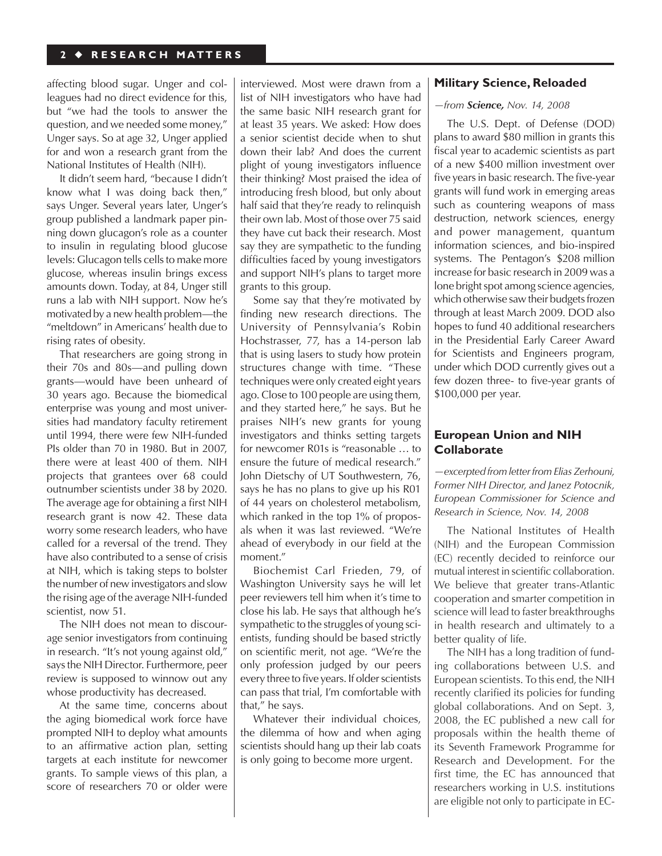affecting blood sugar. Unger and colleagues had no direct evidence for this, but "we had the tools to answer the question, and we needed some money," Unger says. So at age 32, Unger applied for and won a research grant from the National Institutes of Health (NIH).

 It didn't seem hard, "because I didn't know what I was doing back then," says Unger. Several years later, Unger's group published a landmark paper pinning down glucagon's role as a counter to insulin in regulating blood glucose levels: Glucagon tells cells to make more glucose, whereas insulin brings excess amounts down. Today, at 84, Unger still runs a lab with NIH support. Now he's motivated by a new health problem—the "meltdown" in Americans' health due to rising rates of obesity.

 That researchers are going strong in their 70s and 80s—and pulling down grants—would have been unheard of 30 years ago. Because the biomedical enterprise was young and most universities had mandatory faculty retirement until 1994, there were few NIH-funded PIs older than 70 in 1980. But in 2007, there were at least 400 of them. NIH projects that grantees over 68 could outnumber scientists under 38 by 2020. The average age for obtaining a first NIH research grant is now 42. These data worry some research leaders, who have called for a reversal of the trend. They have also contributed to a sense of crisis at NIH, which is taking steps to bolster the number of new investigators and slow the rising age of the average NIH-funded scientist, now 51.

 The NIH does not mean to discourage senior investigators from continuing in research. "It's not young against old," saysthe NIH Director. Furthermore, peer review is supposed to winnow out any whose productivity has decreased.

 At the same time, concerns about the aging biomedical work force have prompted NIH to deploy what amounts to an affirmative action plan, setting targets at each institute for newcomer grants. To sample views of this plan, a score of researchers 70 or older were interviewed. Most were drawn from a list of NIH investigators who have had the same basic NIH research grant for at least 35 years. We asked: How does a senior scientist decide when to shut down their lab? And does the current plight of young investigators influence their thinking? Most praised the idea of introducing fresh blood, but only about half said that they're ready to relinquish their own lab. Most of those over 75 said they have cut back their research. Most say they are sympathetic to the funding difficulties faced by young investigators and support NIH's plans to target more grants to this group.

 Some say that they're motivated by finding new research directions. The University of Pennsylvania's Robin Hochstrasser, 77, has a 14-person lab that is using lasers to study how protein structures change with time. "These techniques were only created eight years ago. Close to 100 people are using them, and they started here," he says. But he praises NIH's new grants for young investigators and thinks setting targets for newcomer R01s is "reasonable … to ensure the future of medical research." John Dietschy of UT Southwestern, 76, says he has no plans to give up his R01 of 44 years on cholesterol metabolism, which ranked in the top 1% of proposals when it was last reviewed. "We're ahead of everybody in our field at the moment."

 Biochemist Carl Frieden, 79, of Washington University says he will let peer reviewers tell him when it's time to close his lab. He says that although he's sympathetic to the struggles of young scientists, funding should be based strictly on scientific merit, not age. "We're the only profession judged by our peers every three to five years. If older scientists can pass that trial, I'm comfortable with that," he says.

 Whatever their individual choices, the dilemma of how and when aging scientists should hang up their lab coats is only going to become more urgent.

## **Military Science, Reloaded**

*—from Science, Nov. 14, 2008*

 The U.S. Dept. of Defense (DOD) plans to award \$80 million in grants this fiscal year to academic scientists as part of a new \$400 million investment over five years in basic research. The five-year grants will fund work in emerging areas such as countering weapons of mass destruction, network sciences, energy and power management, quantum information sciences, and bio-inspired systems. The Pentagon's \$208 million increase for basic research in 2009 was a lone bright spot among science agencies, which otherwise saw their budgets frozen through at least March 2009. DOD also hopes to fund 40 additional researchers in the Presidential Early Career Award for Scientists and Engineers program, under which DOD currently gives out a few dozen three- to five-year grants of \$100,000 per year.

## **European Union and NIH Collaborate**

*—excerpted from letter from Elias Zerhouni, Former NIH Director, and Janez Poto*c*nik, European Commissioner for Science and Research in Science, Nov. 14, 2008*

 The National Institutes of Health (NIH) and the European Commission (EC) recently decided to reinforce our mutual interest in scientific collaboration. We believe that greater trans-Atlantic cooperation and smarter competition in science will lead to faster breakthroughs in health research and ultimately to a better quality of life.

 The NIH has a long tradition of funding collaborations between U.S. and European scientists. To this end, the NIH recently clarified its policies for funding global collaborations. And on Sept. 3, 2008, the EC published a new call for proposals within the health theme of its Seventh Framework Programme for Research and Development. For the first time, the EC has announced that researchers working in U.S. institutions are eligible not only to participate in EC-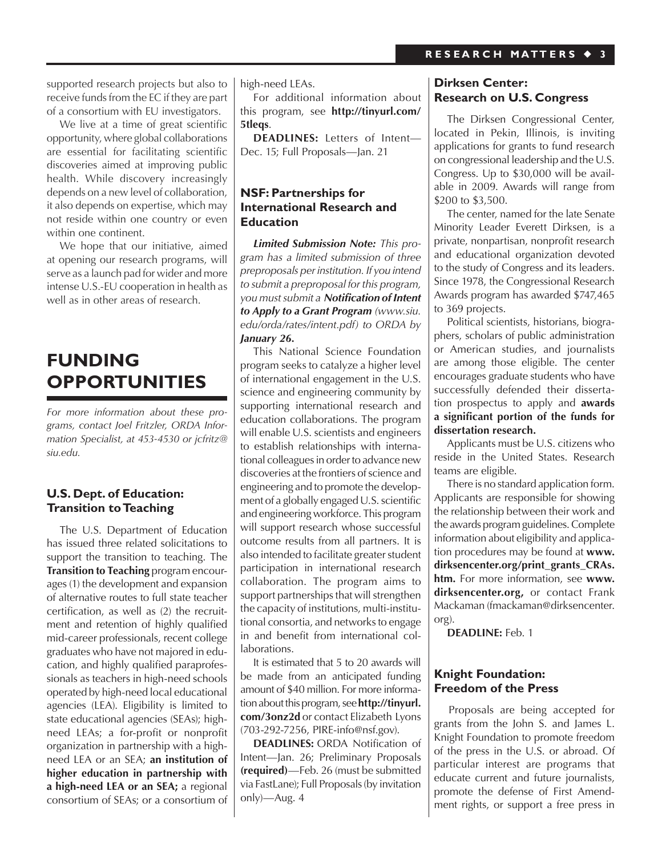supported research projects but also to receive funds from the EC if they are part of a consortium with EU investigators.

 We live at a time of great scientific opportunity, where global collaborations are essential for facilitating scientific discoveries aimed at improving public health. While discovery increasingly depends on a new level of collaboration, it also depends on expertise, which may not reside within one country or even within one continent.

 We hope that our initiative, aimed at opening our research programs, will serve as a launch pad for wider and more intense U.S.-EU cooperation in health as well as in other areas of research.

# **Funding Opportunities**

*For more information about these programs, contact Joel Fritzler, ORDA Information Specialist, at 453-4530 or jcfritz@ siu.edu.*

## **U.S. Dept. of Education: Transition to Teaching**

 The U.S. Department of Education has issued three related solicitations to support the transition to teaching. The **Transition to Teaching** program encourages (1) the development and expansion of alternative routes to full state teacher certification, as well as (2) the recruitment and retention of highly qualified mid-career professionals, recent college graduates who have not majored in education, and highly qualified paraprofessionals as teachers in high-need schools operated by high-need local educational agencies (LEA). Eligibility is limited to state educational agencies (SEAs); highneed LEAs; a for-profit or nonprofit organization in partnership with a highneed LEA or an SEA; **an institution of higher education in partnership with a high-need LEA or an SEA;** a regional consortium of SEAs; or a consortium of

high-need LEAs.

 For additional information about this program, see **http://tinyurl.com/ 5tleqs**.

**DEADLINES:** Letters of Intent— Dec. 15; Full Proposals—Jan. 21

## **NSF: Partnerships for International Research and Education**

*Limited Submission Note: This program has a limited submission of three preproposals per institution. If you intend to submit a preproposal for this program, you must submit a Notification of Intent to Apply to a Grant Program (www.siu. edu/orda/rates/intent.pdf) to ORDA by January 26.*

 This National Science Foundation program seeks to catalyze a higher level of international engagement in the U.S. science and engineering community by supporting international research and education collaborations. The program will enable U.S. scientists and engineers to establish relationships with international colleagues in order to advance new discoveries at the frontiers of science and engineering and to promote the development of a globally engaged U.S. scientific and engineering workforce. This program will support research whose successful outcome results from all partners. It is also intended to facilitate greater student participation in international research collaboration. The program aims to support partnerships that will strengthen the capacity of institutions, multi-institutional consortia, and networks to engage in and benefit from international collaborations.

 It is estimated that 5 to 20 awards will be made from an anticipated funding amount of \$40 million. For more information about this program, see **http://tinyurl. com/3onz2d** or contact Elizabeth Lyons (703-292-7256, PIRE-info@nsf.gov).

**DEADLINES:** ORDA Notification of Intent—Jan. 26; Preliminary Proposals **(required)**—Feb. 26 (must be submitted via FastLane); Full Proposals(by invitation only)—Aug. 4

## **Dirksen Center: Research on U.S. Congress**

 The Dirksen Congressional Center, located in Pekin, Illinois, is inviting applications for grants to fund research on congressional leadership and the U.S. Congress. Up to \$30,000 will be available in 2009. Awards will range from \$200 to \$3,500.

 The center, named for the late Senate Minority Leader Everett Dirksen, is a private, nonpartisan, nonprofit research and educational organization devoted to the study of Congress and its leaders. Since 1978, the Congressional Research Awards program has awarded \$747,465 to 369 projects.

 Political scientists, historians, biographers, scholars of public administration or American studies, and journalists are among those eligible. The center encourages graduate students who have successfully defended their dissertation prospectus to apply and **awards a significant portion of the funds for dissertation research.**

 Applicants must be U.S. citizens who reside in the United States. Research teams are eligible.

 There is no standard application form. Applicants are responsible for showing the relationship between their work and the awards program guidelines.Complete information about eligibility and application procedures may be found at **www. dirksencenter.org/print\_grants\_CRAs. htm.** For more information, see **www. dirksencenter.org,** or contact Frank Mackaman (fmackaman@dirksencenter. org).

**DEADLINE:** Feb. 1

## **Knight Foundation: Freedom of the Press**

 Proposals are being accepted for grants from the John S. and James L. Knight Foundation to promote freedom of the press in the U.S. or abroad. Of particular interest are programs that educate current and future journalists, promote the defense of First Amendment rights, or support a free press in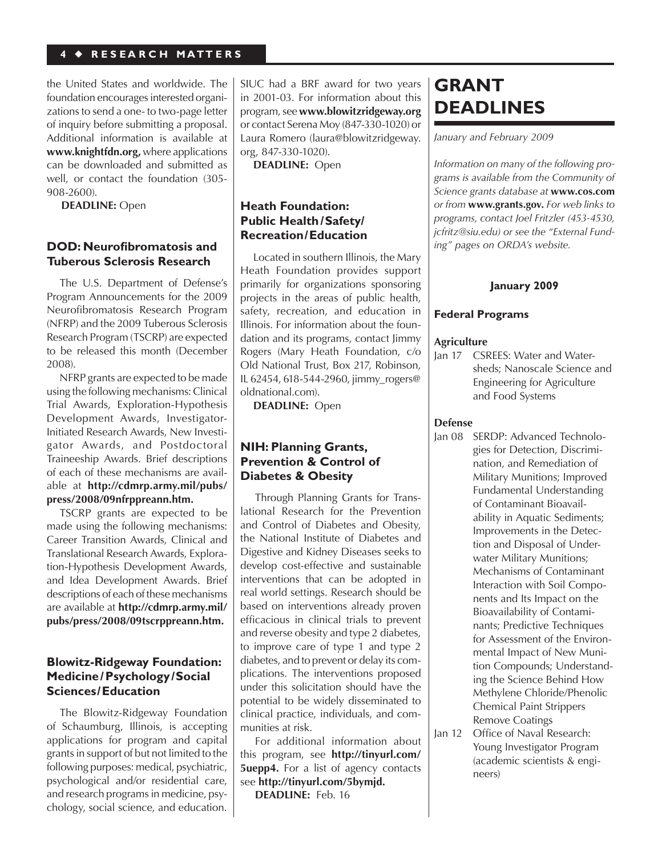## **4** ◆ **R E S E A R C H M A T T E R S**

the United States and worldwide. The foundation encourages interested organizations to send a one- to two-page letter of inquiry before submitting a proposal. Additional information is available at **www.knightfdn.org,** where applications can be downloaded and submitted as well, or contact the foundation (305- 908-2600).

**DEADLINE:** Open

## **DOD: Neurofibromatosis and Tuberous Sclerosis Research**

 The U.S. Department of Defense's Program Announcements for the 2009 Neurofibromatosis Research Program (NFRP) and the 2009 Tuberous Sclerosis Research Program (TSCRP) are expected to be released this month (December 2008).

 NFRP grants are expected to be made using the following mechanisms: Clinical Trial Awards, Exploration-Hypothesis Development Awards, Investigator-Initiated Research Awards, New Investigator Awards, and Postdoctoral Traineeship Awards. Brief descriptions of each of these mechanisms are available at **http://cdmrp.army.mil/pubs/ press/2008/09nfrppreann.htm.**

TSCRP grants are expected to be made using the following mechanisms: Career Transition Awards, Clinical and Translational Research Awards, Exploration-Hypothesis Development Awards, and Idea Development Awards. Brief descriptions of each of these mechanisms are available at **http://cdmrp.army.mil/ pubs/press/2008/09tscrppreann.htm.**

## **Blowitz-Ridgeway Foundation: Medicine/Psychology/Social Sciences/Education**

 The Blowitz-Ridgeway Foundation of Schaumburg, Illinois, is accepting applications for program and capital grants in support of but not limited to the following purposes: medical, psychiatric, psychological and/or residential care, and research programs in medicine, psychology, social science, and education.

SIUC had a BRF award for two years in 2001-03. For information about this program, see www.blowitzridgeway.org or contact Serena Moy (847-330-1020) or Laura Romero (laura@blowitzridgeway. org, 847-330-1020).

**DEADLINE:** Open

## **Heath Foundation: Public Health /Safety/ Recreation/Education**

 Located in southern Illinois, the Mary Heath Foundation provides support primarily for organizations sponsoring projects in the areas of public health, safety, recreation, and education in Illinois. For information about the foundation and its programs, contact Jimmy Rogers (Mary Heath Foundation, c/o Old National Trust, Box 217, Robinson, IL 62454, 618-544-2960, jimmy\_rogers@ oldnational.com).

**DEADLINE:** Open

## **NIH: Planning Grants, Prevention & Control of Diabetes & Obesity**

 Through Planning Grants for Translational Research for the Prevention and Control of Diabetes and Obesity, the National Institute of Diabetes and Digestive and Kidney Diseases seeks to develop cost-effective and sustainable interventions that can be adopted in real world settings. Research should be based on interventions already proven efficacious in clinical trials to prevent and reverse obesity and type 2 diabetes, to improve care of type 1 and type 2 diabetes, and to prevent or delay its complications. The interventions proposed under this solicitation should have the potential to be widely disseminated to clinical practice, individuals, and communities at risk.

 For additional information about this program, see **http://tinyurl.com/ 5uepp4.** For a list of agency contacts see **http://tinyurl.com/5bymjd.**

**DEADLINE:** Feb. 16

# **Grant Deadlines**

*January and February 2009*

*Information on many of the following programs is available from the Community of Science grants database at* **www.cos.com** *or from* **www.grants.gov.** *For web links to programs, contact Joel Fritzler (453-4530, jcfritz@siu.edu) or see the "External Funding" pages on ORDA's website.*

## **January 2009**

## **Federal Programs**

#### **Agriculture**

Jan 17 CSREES: Water and Watersheds; Nanoscale Science and Engineering for Agriculture and Food Systems

## **Defense**

- Jan 08 SERDP: Advanced Technologies for Detection, Discrimination, and Remediation of Military Munitions; Improved Fundamental Understanding of Contaminant Bioavailability in Aquatic Sediments; Improvements in the Detection and Disposal of Underwater Military Munitions; Mechanisms of Contaminant Interaction with Soil Components and Its Impact on the Bioavailability of Contaminants; Predictive Techniques for Assessment of the Environmental Impact of New Munition Compounds; Understanding the Science Behind How Methylene Chloride/Phenolic Chemical Paint Strippers Remove Coatings
- Jan 12 Office of Naval Research: Young Investigator Program (academic scientists & engineers)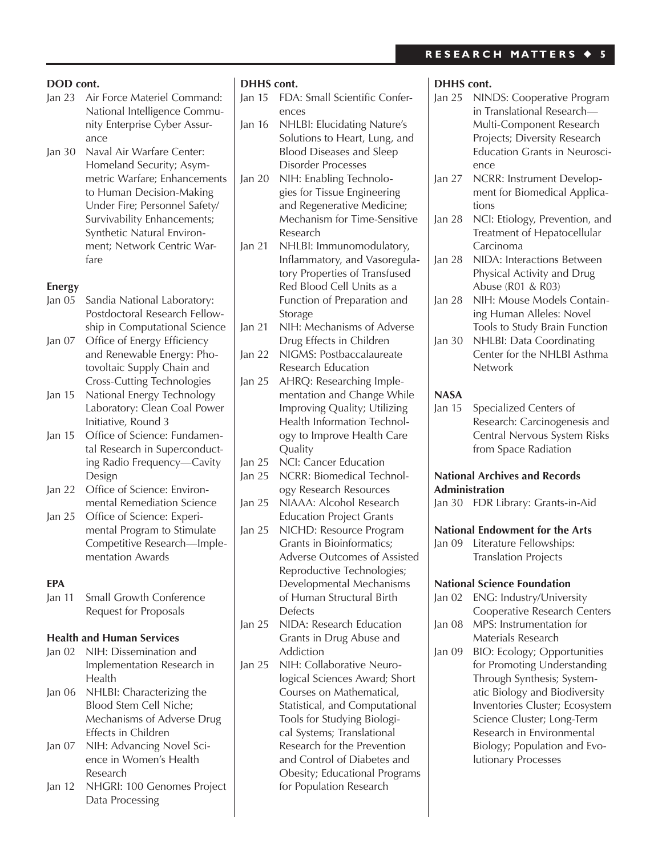- Jan 23 Air Force Materiel Command: National Intelligence Community Enterprise Cyber Assurance
- Jan 30 Naval Air Warfare Center: Homeland Security; Asymmetric Warfare; Enhancements to Human Decision-Making Under Fire; Personnel Safety/ Survivability Enhancements; Synthetic Natural Environment; Network Centric Warfare

## **Energy**

- Jan 05 Sandia National Laboratory: Postdoctoral Research Fellowship in Computational Science
- Jan 07 Office of Energy Efficiency and Renewable Energy: Photovoltaic Supply Chain and Cross-Cutting Technologies
- Jan 15 National Energy Technology Laboratory: Clean Coal Power Initiative, Round 3
- Jan 15 Office of Science: Fundamental Research in Superconducting Radio Frequency—Cavity Design
- Jan 22 Office of Science: Environmental Remediation Science
- Jan 25 Office of Science: Experimental Program to Stimulate Competitive Research—Implementation Awards

## **EPA**

Jan 11 Small Growth Conference Request for Proposals

## **Health and Human Services**

- Jan 02 NIH: Dissemination and Implementation Research in Health
- Jan 06 NHLBI: Characterizing the Blood Stem Cell Niche; Mechanisms of Adverse Drug Effects in Children
- Jan 07 NIH: Advancing Novel Science in Women's Health Research
- Jan 12 NHGRI: 100 Genomes Project Data Processing

## **DHHS cont.**

- Jan 15 FDA: Small Scientific Conferences
- Jan 16 NHLBI: Elucidating Nature's Solutions to Heart, Lung, and Blood Diseases and Sleep Disorder Processes
- Jan 20 NIH: Enabling Technologies for Tissue Engineering and Regenerative Medicine; Mechanism for Time-Sensitive Research
- Jan 21 NHLBI: Immunomodulatory, Inflammatory, and Vasoregulatory Properties of Transfused Red Blood Cell Units as a Function of Preparation and Storage
- Jan 21 NIH: Mechanisms of Adverse Drug Effects in Children
- Jan 22 NIGMS: Postbaccalaureate Research Education
- Jan 25 AHRQ: Researching Implementation and Change While Improving Quality; Utilizing Health Information Technology to Improve Health Care **Ouality**
- Jan 25 NCI: Cancer Education
- Jan 25 NCRR: Biomedical Technology Research Resources
- Jan 25 NIAAA: Alcohol Research Education Project Grants
- Jan 25 NICHD: Resource Program Grants in Bioinformatics; Adverse Outcomes of Assisted Reproductive Technologies; Developmental Mechanisms of Human Structural Birth Defects
- Jan 25 NIDA: Research Education Grants in Drug Abuse and Addiction
- Jan 25 NIH: Collaborative Neurological Sciences Award; Short Courses on Mathematical, Statistical, and Computational Tools for Studying Biological Systems; Translational Research for the Prevention and Control of Diabetes and Obesity; Educational Programs for Population Research

## **DHHS cont.**

- Jan 25 NINDS: Cooperative Program in Translational Research— Multi-Component Research Projects; Diversity Research Education Grants in Neuroscience
- Jan 27 NCRR: Instrument Development for Biomedical Applications
- Jan 28 NCI: Etiology, Prevention, and Treatment of Hepatocellular Carcinoma
- Jan 28 NIDA: Interactions Between Physical Activity and Drug Abuse (R01 & R03)
- Jan 28 NIH: Mouse Models Containing Human Alleles: Novel Tools to Study Brain Function
- Jan 30 NHLBI: Data Coordinating Center for the NHLBI Asthma Network

## **NASA**

Jan 15 Specialized Centers of Research: Carcinogenesis and Central Nervous System Risks from Space Radiation

## **National Archives and Records Administration**

Jan 30 FDR Library: Grants-in-Aid

## **National Endowment for the Arts**

Jan 09 Literature Fellowships: Translation Projects

## **National Science Foundation**

- Jan 02 ENG: Industry/University Cooperative Research Centers
- Jan 08 MPS: Instrumentation for Materials Research
- Jan 09 BIO: Ecology; Opportunities for Promoting Understanding Through Synthesis; Systematic Biology and Biodiversity Inventories Cluster; Ecosystem Science Cluster; Long-Term Research in Environmental Biology; Population and Evolutionary Processes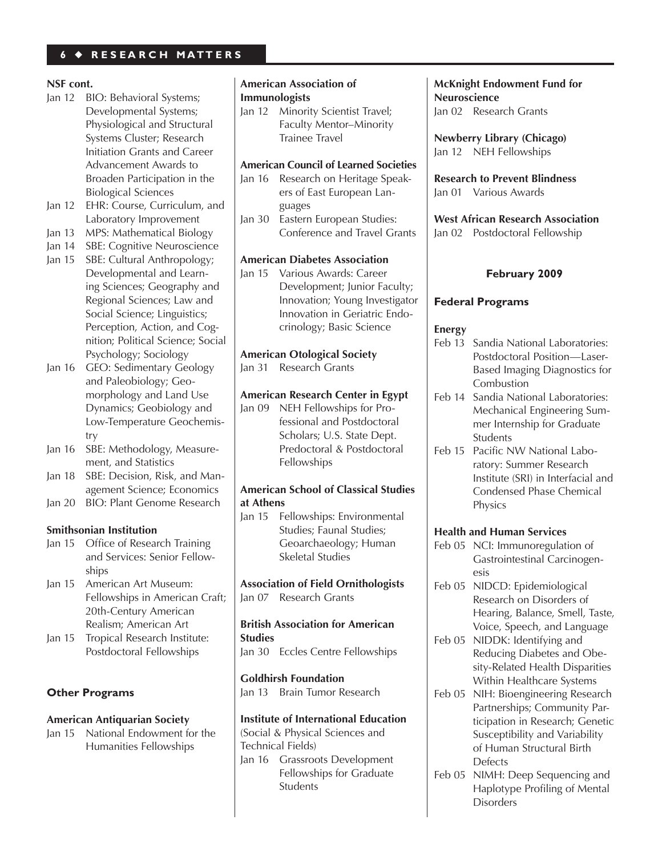## **6** ◆ **R E S E A R C H M A T T E R S**

## **NSF cont.**

- Jan 12 BIO: Behavioral Systems; Developmental Systems; Physiological and Structural Systems Cluster; Research Initiation Grants and Career Advancement Awards to Broaden Participation in the Biological Sciences
- Jan 12 EHR: Course, Curriculum, and Laboratory Improvement
- Jan 13 MPS: Mathematical Biology
- Jan 14 SBE: Cognitive Neuroscience
- Jan 15 SBE: Cultural Anthropology; Developmental and Learning Sciences; Geography and Regional Sciences; Law and Social Science; Linguistics; Perception, Action, and Cognition; Political Science; Social Psychology; Sociology
- Jan 16 GEO: Sedimentary Geology and Paleobiology; Geomorphology and Land Use Dynamics; Geobiology and Low-Temperature Geochemistry
- Jan 16 SBE: Methodology, Measurement, and Statistics
- Jan 18 SBE: Decision, Risk, and Management Science; Economics
- Jan 20 BIO: Plant Genome Research

## **Smithsonian Institution**

- Jan 15 Office of Research Training and Services: Senior Fellowships
- Jan 15 American Art Museum: Fellowships in American Craft; 20th-Century American Realism; American Art
- Jan 15 Tropical Research Institute: Postdoctoral Fellowships

## **Other Programs**

## **American Antiquarian Society**

Jan 15 National Endowment for the Humanities Fellowships

## **American Association of Immunologists**

Jan 12 Minority Scientist Travel; Faculty Mentor–Minority Trainee Travel

## **American Council of Learned Societies**

- Jan 16 Research on Heritage Speakers of East European Languages
- Jan 30 Eastern European Studies: Conference and Travel Grants

## **American Diabetes Association**

Jan 15 Various Awards: Career Development; Junior Faculty; Innovation; Young Investigator Innovation in Geriatric Endocrinology; Basic Science

## **American Otological Society**

Jan 31 Research Grants

## **American Research Center in Egypt**

Jan 09 NEH Fellowships for Professional and Postdoctoral Scholars; U.S. State Dept. Predoctoral & Postdoctoral Fellowships

## **American School of Classical Studies at Athens**

Jan 15 Fellowships: Environmental Studies; Faunal Studies; Geoarchaeology; Human Skeletal Studies

**Association of Field Ornithologists** Jan 07 Research Grants

## **British Association for American Studies**

Jan 30 Eccles Centre Fellowships

## **Goldhirsh Foundation**

Jan 13 Brain Tumor Research

## **Institute of International Education**

(Social & Physical Sciences and Technical Fields) Jan 16 Grassroots Development Fellowships for Graduate **Students** 

## **McKnight Endowment Fund for Neuroscience** Jan 02 Research Grants

**Newberry Library (Chicago)** Jan 12 NEH Fellowships

**Research to Prevent Blindness** Jan 01 Various Awards

**West African Research Association** Jan 02 Postdoctoral Fellowship

## **February 2009**

## **Federal Programs**

## **Energy**

- Feb 13 Sandia National Laboratories: Postdoctoral Position—Laser-Based Imaging Diagnostics for **Combustion**
- Feb 14 Sandia National Laboratories: Mechanical Engineering Summer Internship for Graduate Students
- Feb 15 Pacific NW National Laboratory: Summer Research Institute (SRI) in Interfacial and Condensed Phase Chemical Physics

## **Health and Human Services**

- Feb 05 NCI: Immunoregulation of Gastrointestinal Carcinogenesis
- Feb 05 NIDCD: Epidemiological Research on Disorders of Hearing, Balance, Smell, Taste, Voice, Speech, and Language
- Feb 05 NIDDK: Identifying and Reducing Diabetes and Obesity-Related Health Disparities Within Healthcare Systems
- Feb 05 NIH: Bioengineering Research Partnerships; Community Participation in Research; Genetic Susceptibility and Variability of Human Structural Birth **Defects**
- Feb 05 NIMH: Deep Sequencing and Haplotype Profiling of Mental **Disorders**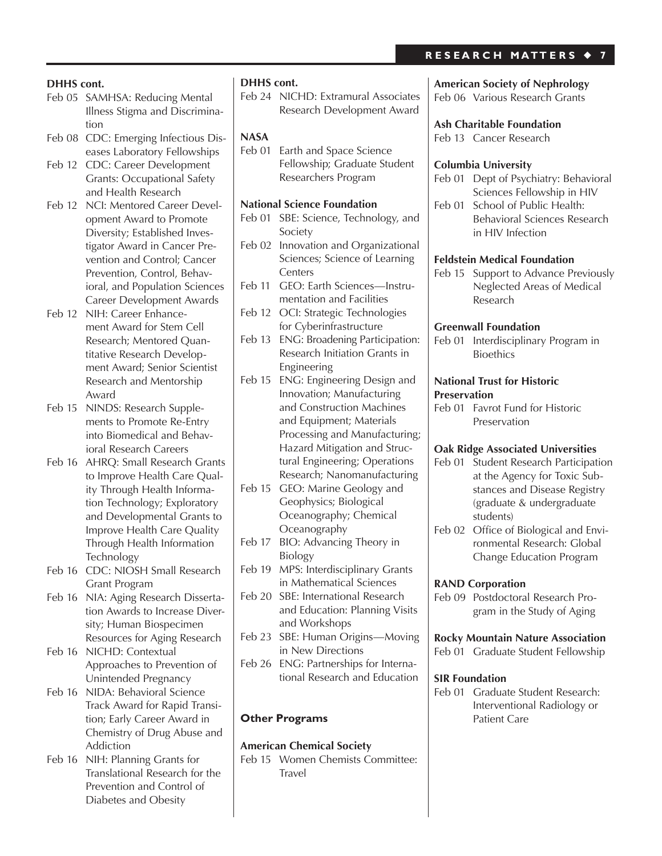## **DHHS cont.**

- Feb 05 SAMHSA: Reducing Mental Illness Stigma and Discrimination
- Feb 08 CDC: Emerging Infectious Diseases Laboratory Fellowships
- Feb 12 CDC: Career Development Grants: Occupational Safety and Health Research
- Feb 12 NCI: Mentored Career Development Award to Promote Diversity; Established Investigator Award in Cancer Prevention and Control; Cancer Prevention, Control, Behavioral, and Population Sciences Career Development Awards
- Feb 12 NIH: Career Enhancement Award for Stem Cell Research; Mentored Quantitative Research Development Award; Senior Scientist Research and Mentorship Award
- Feb 15 NINDS: Research Supplements to Promote Re-Entry into Biomedical and Behavioral Research Careers
- Feb 16 AHRQ: Small Research Grants to Improve Health Care Quality Through Health Information Technology; Exploratory and Developmental Grants to Improve Health Care Quality Through Health Information Technology
- Feb 16 CDC: NIOSH Small Research Grant Program
- Feb 16 NIA: Aging Research Dissertation Awards to Increase Diversity; Human Biospecimen Resources for Aging Research
- Feb 16 NICHD: Contextual Approaches to Prevention of Unintended Pregnancy
- Feb 16 NIDA: Behavioral Science Track Award for Rapid Transition; Early Career Award in Chemistry of Drug Abuse and Addiction
- Feb 16 NIH: Planning Grants for Translational Research for the Prevention and Control of Diabetes and Obesity

## **DHHS cont.**

Feb 24 NICHD: Extramural Associates Research Development Award

## **NASA**

Feb 01 Earth and Space Science Fellowship; Graduate Student Researchers Program

## **National Science Foundation**

- Feb 01 SBE: Science, Technology, and Society
- Feb 02 Innovation and Organizational Sciences; Science of Learning **Centers**
- Feb 11 GEO: Earth Sciences-Instrumentation and Facilities
- Feb 12 OCI: Strategic Technologies for Cyberinfrastructure
- Feb 13 ENG: Broadening Participation: Research Initiation Grants in Engineering
- Feb 15 ENG: Engineering Design and Innovation; Manufacturing and Construction Machines and Equipment; Materials Processing and Manufacturing; Hazard Mitigation and Structural Engineering; Operations Research; Nanomanufacturing
- Feb 15 GEO: Marine Geology and Geophysics; Biological Oceanography; Chemical **Oceanography**
- Feb 17 BIO: Advancing Theory in Biology
- Feb 19 MPS: Interdisciplinary Grants in Mathematical Sciences
- Feb 20 SBE: International Research and Education: Planning Visits and Workshops
- Feb 23 SBE: Human Origins—Moving in New Directions
- Feb 26 ENG: Partnerships for International Research and Education

## **Other Programs**

## **American Chemical Society**

Feb 15 Women Chemists Committee: Travel

#### **American Society of Nephrology**

Feb 06 Various Research Grants

## **Ash Charitable Foundation**

Feb 13 Cancer Research

#### **Columbia University**

- Feb 01 Dept of Psychiatry: Behavioral Sciences Fellowship in HIV
- Feb 01 School of Public Health: Behavioral Sciences Research in HIV Infection

#### **Feldstein Medical Foundation**

Feb 15 Support to Advance Previously Neglected Areas of Medical Research

## **Greenwall Foundation**

Feb 01 Interdisciplinary Program in **Bioethics** 

#### **National Trust for Historic Preservation**

Feb 01 Favrot Fund for Historic Preservation

## **Oak Ridge Associated Universities**

- Feb 01 Student Research Participation at the Agency for Toxic Substances and Disease Registry (graduate & undergraduate students)
- Feb 02 Office of Biological and Environmental Research: Global Change Education Program

#### **RAND Corporation**

Feb 09 Postdoctoral Research Program in the Study of Aging

## **Rocky Mountain Nature Association**

Feb 01 Graduate Student Fellowship

#### **SIR Foundation**

Feb 01 Graduate Student Research: Interventional Radiology or Patient Care

## **R E S E A R C H M A T T E R S** ◆ **7**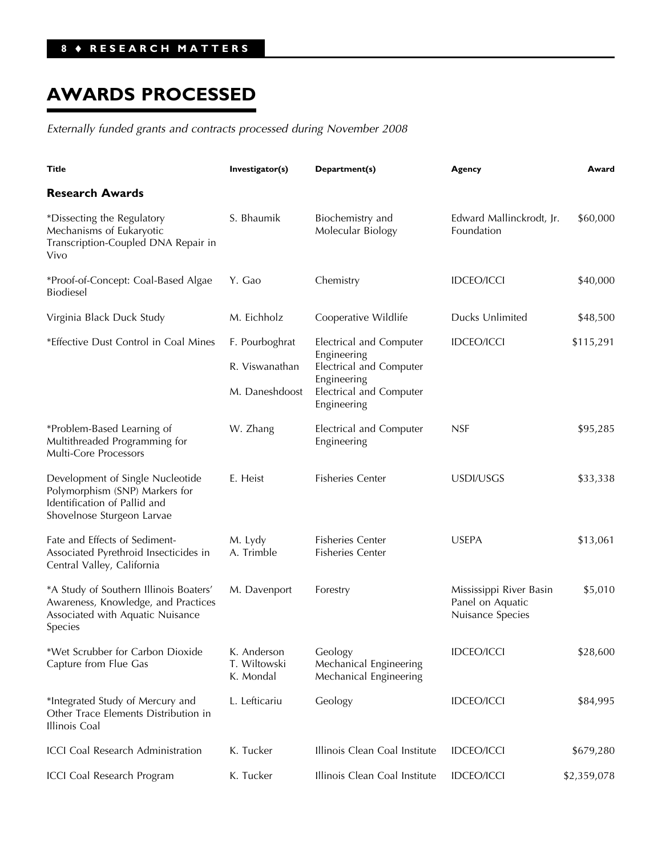# **AWARDS PROCESSED**

*Externally funded grants and contracts processed during November 2008*

| Title                                                                                                                            | Investigator(s)                                    | Department(s)                                                                                                              | Agency                                                          | Award       |
|----------------------------------------------------------------------------------------------------------------------------------|----------------------------------------------------|----------------------------------------------------------------------------------------------------------------------------|-----------------------------------------------------------------|-------------|
| <b>Research Awards</b>                                                                                                           |                                                    |                                                                                                                            |                                                                 |             |
| *Dissecting the Regulatory<br>Mechanisms of Eukaryotic<br>Transcription-Coupled DNA Repair in<br>Vivo                            | S. Bhaumik                                         | Biochemistry and<br>Molecular Biology                                                                                      | Edward Mallinckrodt, Jr.<br>Foundation                          | \$60,000    |
| *Proof-of-Concept: Coal-Based Algae<br><b>Biodiesel</b>                                                                          | Y. Gao                                             | Chemistry                                                                                                                  | <b>IDCEO/ICCI</b>                                               | \$40,000    |
| Virginia Black Duck Study                                                                                                        | M. Eichholz                                        | Cooperative Wildlife                                                                                                       | Ducks Unlimited                                                 | \$48,500    |
| *Effective Dust Control in Coal Mines                                                                                            | F. Pourboghrat<br>R. Viswanathan<br>M. Daneshdoost | Electrical and Computer<br>Engineering<br>Electrical and Computer<br>Engineering<br>Electrical and Computer<br>Engineering | <b>IDCEO/ICCI</b>                                               | \$115,291   |
| *Problem-Based Learning of<br>Multithreaded Programming for<br>Multi-Core Processors                                             | W. Zhang                                           | Electrical and Computer<br>Engineering                                                                                     | <b>NSF</b>                                                      | \$95,285    |
| Development of Single Nucleotide<br>Polymorphism (SNP) Markers for<br>Identification of Pallid and<br>Shovelnose Sturgeon Larvae | E. Heist                                           | <b>Fisheries Center</b>                                                                                                    | USDI/USGS                                                       | \$33,338    |
| Fate and Effects of Sediment-<br>Associated Pyrethroid Insecticides in<br>Central Valley, California                             | M. Lydy<br>A. Trimble                              | <b>Fisheries Center</b><br><b>Fisheries Center</b>                                                                         | <b>USEPA</b>                                                    | \$13,061    |
| *A Study of Southern Illinois Boaters'<br>Awareness, Knowledge, and Practices<br>Associated with Aquatic Nuisance<br>Species     | M. Davenport                                       | Forestry                                                                                                                   | Mississippi River Basin<br>Panel on Aquatic<br>Nuisance Species | \$5,010     |
| *Wet Scrubber for Carbon Dioxide<br>Capture from Flue Gas                                                                        | K. Anderson<br>T. Wiltowski<br>K. Mondal           | Geology<br>Mechanical Engineering<br>Mechanical Engineering                                                                | <b>IDCEO/ICCI</b>                                               | \$28,600    |
| *Integrated Study of Mercury and<br>Other Trace Elements Distribution in<br>Illinois Coal                                        | L. Lefticariu                                      | Geology                                                                                                                    | <b>IDCEO/ICCI</b>                                               | \$84,995    |
| ICCI Coal Research Administration                                                                                                | K. Tucker                                          | Illinois Clean Coal Institute                                                                                              | <b>IDCEO/ICCI</b>                                               | \$679,280   |
| ICCI Coal Research Program                                                                                                       | K. Tucker                                          | Illinois Clean Coal Institute                                                                                              | <b>IDCEO/ICCI</b>                                               | \$2,359,078 |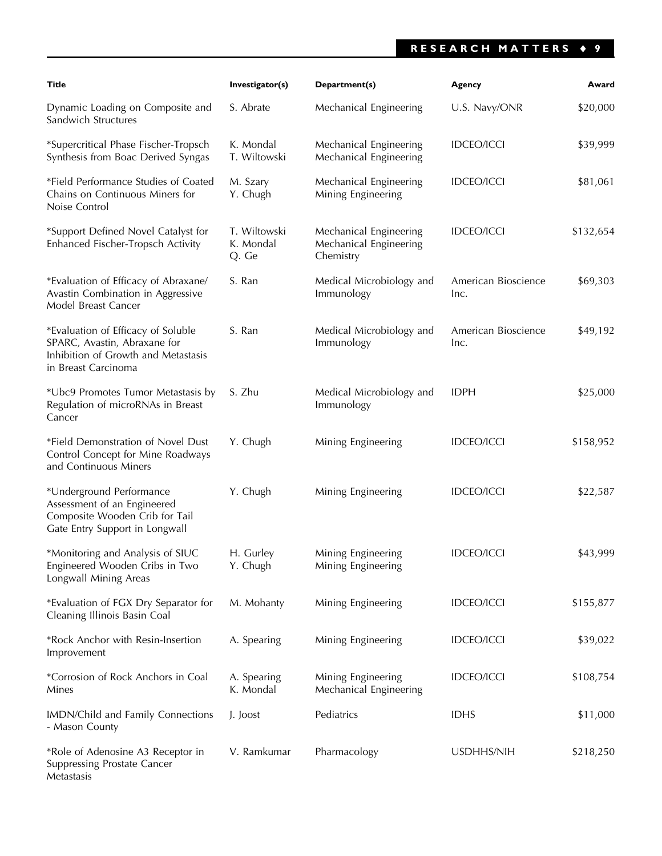## **RESEARCH MATTERS** ♦ **9**

| Title                                                                                                                            | Investigator(s)                    | Department(s)                                                 | Agency                      | Award     |
|----------------------------------------------------------------------------------------------------------------------------------|------------------------------------|---------------------------------------------------------------|-----------------------------|-----------|
| Dynamic Loading on Composite and<br>Sandwich Structures                                                                          | S. Abrate                          | Mechanical Engineering                                        | U.S. Navy/ONR               | \$20,000  |
| *Supercritical Phase Fischer-Tropsch<br>Synthesis from Boac Derived Syngas                                                       | K. Mondal<br>T. Wiltowski          | Mechanical Engineering<br>Mechanical Engineering              | <b>IDCEO/ICCI</b>           | \$39,999  |
| *Field Performance Studies of Coated<br>Chains on Continuous Miners for<br>Noise Control                                         | M. Szary<br>Y. Chugh               | Mechanical Engineering<br>Mining Engineering                  | <b>IDCEO/ICCI</b>           | \$81,061  |
| *Support Defined Novel Catalyst for<br>Enhanced Fischer-Tropsch Activity                                                         | T. Wiltowski<br>K. Mondal<br>Q. Ge | Mechanical Engineering<br>Mechanical Engineering<br>Chemistry | <b>IDCEO/ICCI</b>           | \$132,654 |
| *Evaluation of Efficacy of Abraxane/<br>Avastin Combination in Aggressive<br>Model Breast Cancer                                 | S. Ran                             | Medical Microbiology and<br>Immunology                        | American Bioscience<br>Inc. | \$69,303  |
| *Evaluation of Efficacy of Soluble<br>SPARC, Avastin, Abraxane for<br>Inhibition of Growth and Metastasis<br>in Breast Carcinoma | S. Ran                             | Medical Microbiology and<br>Immunology                        | American Bioscience<br>Inc. | \$49,192  |
| *Ubc9 Promotes Tumor Metastasis by<br>Regulation of microRNAs in Breast<br>Cancer                                                | S. Zhu                             | Medical Microbiology and<br>Immunology                        | <b>IDPH</b>                 | \$25,000  |
| *Field Demonstration of Novel Dust<br>Control Concept for Mine Roadways<br>and Continuous Miners                                 | Y. Chugh                           | Mining Engineering                                            | <b>IDCEO/ICCI</b>           | \$158,952 |
| *Underground Performance<br>Assessment of an Engineered<br>Composite Wooden Crib for Tail<br>Gate Entry Support in Longwall      | Y. Chugh                           | Mining Engineering                                            | <b>IDCEO/ICCI</b>           | \$22,587  |
| *Monitoring and Analysis of SIUC<br>Engineered Wooden Cribs in Two<br>Longwall Mining Areas                                      | H. Gurley<br>Y. Chugh              | Mining Engineering<br>Mining Engineering                      | <b>IDCEO/ICCI</b>           | \$43,999  |
| *Evaluation of FGX Dry Separator for<br>Cleaning Illinois Basin Coal                                                             | M. Mohanty                         | Mining Engineering                                            | <b>IDCEO/ICCI</b>           | \$155,877 |
| *Rock Anchor with Resin-Insertion<br>Improvement                                                                                 | A. Spearing                        | Mining Engineering                                            | <b>IDCEO/ICCI</b>           | \$39,022  |
| *Corrosion of Rock Anchors in Coal<br>Mines                                                                                      | A. Spearing<br>K. Mondal           | Mining Engineering<br>Mechanical Engineering                  | <b>IDCEO/ICCI</b>           | \$108,754 |
| IMDN/Child and Family Connections<br>- Mason County                                                                              | J. Joost                           | Pediatrics                                                    | <b>IDHS</b>                 | \$11,000  |
| *Role of Adenosine A3 Receptor in<br><b>Suppressing Prostate Cancer</b><br>Metastasis                                            | V. Ramkumar                        | Pharmacology                                                  | USDHHS/NIH                  | \$218,250 |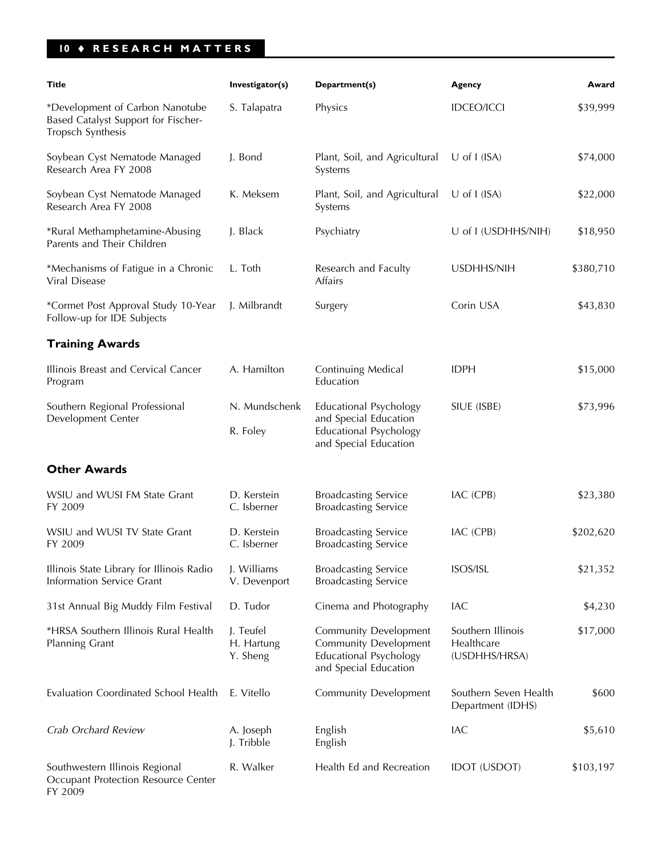## **10** ♦ **RESEARCH MATTERS**

| Title                                                                                       | Investigator(s)                     | Department(s)                                                                                                          | Agency                                           | Award     |
|---------------------------------------------------------------------------------------------|-------------------------------------|------------------------------------------------------------------------------------------------------------------------|--------------------------------------------------|-----------|
| *Development of Carbon Nanotube<br>Based Catalyst Support for Fischer-<br>Tropsch Synthesis | S. Talapatra                        | Physics                                                                                                                | <b>IDCEO/ICCI</b>                                | \$39,999  |
| Soybean Cyst Nematode Managed<br>Research Area FY 2008                                      | J. Bond                             | Plant, Soil, and Agricultural<br>Systems                                                                               | $U$ of I (ISA)                                   | \$74,000  |
| Soybean Cyst Nematode Managed<br>Research Area FY 2008                                      | K. Meksem                           | Plant, Soil, and Agricultural<br>Systems                                                                               | $U$ of I (ISA)                                   | \$22,000  |
| *Rural Methamphetamine-Abusing<br>Parents and Their Children                                | J. Black                            | Psychiatry                                                                                                             | U of I (USDHHS/NIH)                              | \$18,950  |
| *Mechanisms of Fatigue in a Chronic<br>Viral Disease                                        | L. Toth                             | Research and Faculty<br>Affairs                                                                                        | USDHHS/NIH                                       | \$380,710 |
| *Cormet Post Approval Study 10-Year<br>Follow-up for IDE Subjects                           | J. Milbrandt                        | Surgery                                                                                                                | Corin USA                                        | \$43,830  |
| <b>Training Awards</b>                                                                      |                                     |                                                                                                                        |                                                  |           |
| Illinois Breast and Cervical Cancer<br>Program                                              | A. Hamilton                         | Continuing Medical<br>Education                                                                                        | <b>IDPH</b>                                      | \$15,000  |
| Southern Regional Professional<br>Development Center                                        | N. Mundschenk<br>R. Foley           | <b>Educational Psychology</b><br>and Special Education<br><b>Educational Psychology</b><br>and Special Education       | SIUE (ISBE)                                      | \$73,996  |
| <b>Other Awards</b>                                                                         |                                     |                                                                                                                        |                                                  |           |
| WSIU and WUSI FM State Grant<br>FY 2009                                                     | D. Kerstein<br>C. Isberner          | <b>Broadcasting Service</b><br><b>Broadcasting Service</b>                                                             | IAC (CPB)                                        | \$23,380  |
| WSIU and WUSI TV State Grant<br>FY 2009                                                     | D. Kerstein<br>C. Isberner          | <b>Broadcasting Service</b><br><b>Broadcasting Service</b>                                                             | IAC (CPB)                                        | \$202,620 |
| Illinois State Library for Illinois Radio<br>Information Service Grant                      | J. Williams<br>V. Devenport         | <b>Broadcasting Service</b><br><b>Broadcasting Service</b>                                                             | ISOS/ISL                                         | \$21,352  |
| 31st Annual Big Muddy Film Festival                                                         | D. Tudor                            | Cinema and Photography                                                                                                 | IAC                                              | \$4,230   |
| *HRSA Southern Illinois Rural Health<br>Planning Grant                                      | J. Teufel<br>H. Hartung<br>Y. Sheng | <b>Community Development</b><br><b>Community Development</b><br><b>Educational Psychology</b><br>and Special Education | Southern Illinois<br>Healthcare<br>(USDHHS/HRSA) | \$17,000  |
| Evaluation Coordinated School Health                                                        | E. Vitello                          | <b>Community Development</b>                                                                                           | Southern Seven Health<br>Department (IDHS)       | \$600     |
| Crab Orchard Review                                                                         | A. Joseph<br>J. Tribble             | English<br>English                                                                                                     | IAC                                              | \$5,610   |
| Southwestern Illinois Regional<br>Occupant Protection Resource Center                       | R. Walker                           | Health Ed and Recreation                                                                                               | <b>IDOT (USDOT)</b>                              | \$103,197 |

FY 2009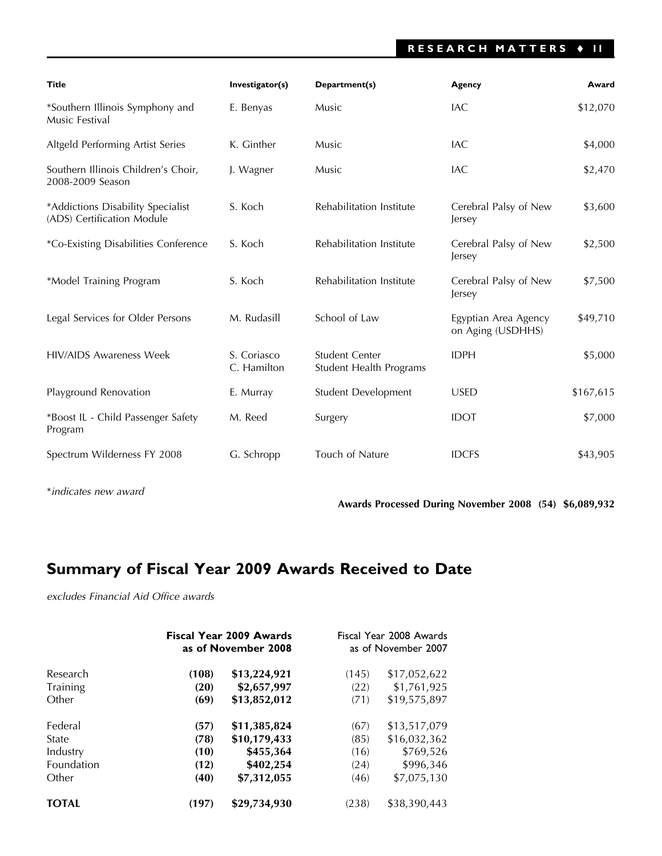## **RESEARCH MATTERS** ♦ **11**

| <b>Title</b>                                                    | Investigator(s)            | Department(s)                             | Agency                                    | Award     |
|-----------------------------------------------------------------|----------------------------|-------------------------------------------|-------------------------------------------|-----------|
| *Southern Illinois Symphony and<br>Music Festival               | E. Benyas                  | Music                                     | <b>IAC</b>                                | \$12,070  |
| Altgeld Performing Artist Series                                | K. Ginther                 | Music                                     | IAC                                       | \$4,000   |
| Southern Illinois Children's Choir,<br>2008-2009 Season         | J. Wagner                  | Music                                     | <b>IAC</b>                                | \$2,470   |
| *Addictions Disability Specialist<br>(ADS) Certification Module | S. Koch                    | Rehabilitation Institute                  | Cerebral Palsy of New<br>Jersey           | \$3,600   |
| *Co-Existing Disabilities Conference                            | S. Koch                    | Rehabilitation Institute                  | Cerebral Palsy of New<br>Jersey           | \$2,500   |
| *Model Training Program                                         | S. Koch                    | Rehabilitation Institute                  | Cerebral Palsy of New<br>Jersey           | \$7,500   |
| Legal Services for Older Persons                                | M. Rudasill                | School of Law                             | Egyptian Area Agency<br>on Aging (USDHHS) | \$49,710  |
| <b>HIV/AIDS Awareness Week</b>                                  | S. Coriasco<br>C. Hamilton | Student Center<br>Student Health Programs | <b>IDPH</b>                               | \$5,000   |
| Playground Renovation                                           | E. Murray                  | Student Development                       | <b>USED</b>                               | \$167,615 |
| *Boost IL - Child Passenger Safety<br>Program                   | M. Reed                    | Surgery                                   | <b>IDOT</b>                               | \$7,000   |
| Spectrum Wilderness FY 2008                                     | G. Schropp                 | Touch of Nature                           | <b>IDCFS</b>                              | \$43,905  |

\**indicates new award*

**Awards Processed During November 2008 (54) \$6,089,932**

## **Summary of Fiscal Year 2009 Awards Received to Date**

*excludes Financial Aid Office awards*

|                 |       | <b>Fiscal Year 2009 Awards</b><br>as of November 2008 |       | Fiscal Year 2008 Awards<br>as of November 2007 |  |
|-----------------|-------|-------------------------------------------------------|-------|------------------------------------------------|--|
| Research        | (108) | \$13,224,921                                          | (145) | \$17,052,622                                   |  |
| <b>Training</b> | (20)  | \$2,657,997                                           | (22)  | \$1,761,925                                    |  |
| Other           | (69)  | \$13,852,012                                          | (71)  | \$19,575,897                                   |  |
| Federal         | (57)  | \$11,385,824                                          | (67)  | \$13,517,079                                   |  |
| State           | (78)  | \$10,179,433                                          | (85)  | \$16,032,362                                   |  |
| Industry        | (10)  | \$455,364                                             | (16)  | \$769,526                                      |  |
| Foundation      | (12)  | \$402,254                                             | (24)  | \$996,346                                      |  |
| Other           | (40)  | \$7,312,055                                           | (46)  | \$7,075,130                                    |  |
| <b>TOTAL</b>    | (197) | \$29,734,930                                          | (238) | \$38,390,443                                   |  |